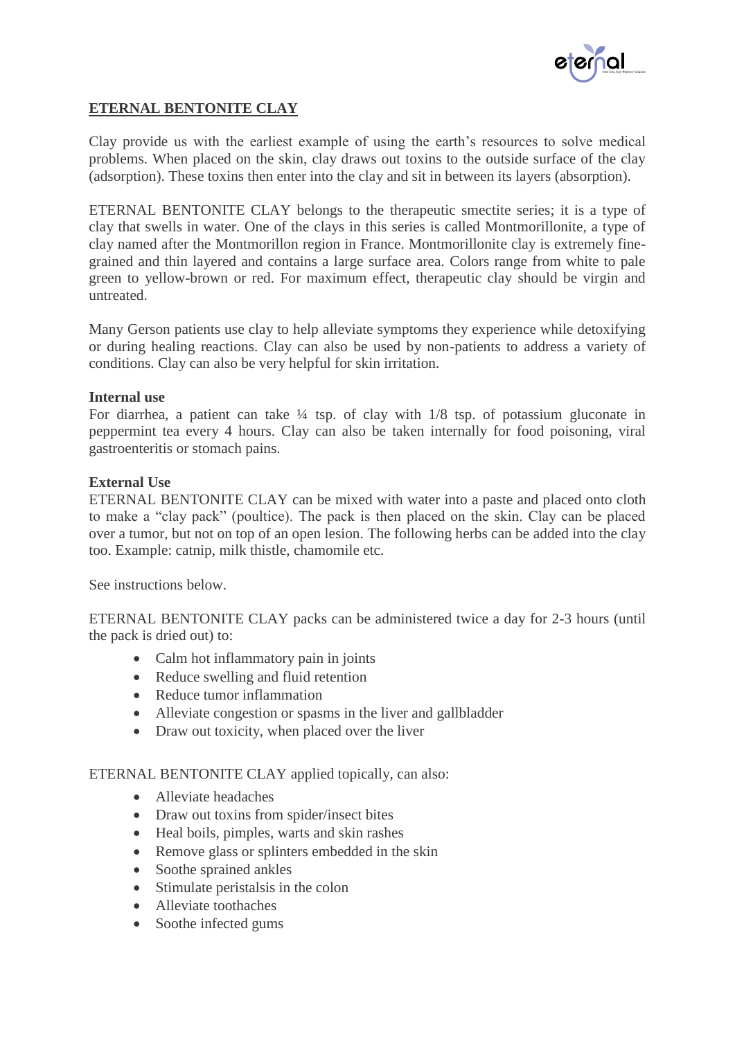

## **ETERNAL BENTONITE CLAY**

Clay provide us with the earliest example of using the earth's resources to solve medical problems. When placed on the skin, clay draws out toxins to the outside surface of the clay (adsorption). These toxins then enter into the clay and sit in between its layers (absorption).

ETERNAL BENTONITE CLAY belongs to the therapeutic smectite series; it is a type of clay that swells in water. One of the clays in this series is called Montmorillonite, a type of clay named after the Montmorillon region in France. Montmorillonite clay is extremely finegrained and thin layered and contains a large surface area. Colors range from white to pale green to yellow-brown or red. For maximum effect, therapeutic clay should be virgin and untreated.

Many Gerson patients use clay to help alleviate symptoms they experience while detoxifying or during healing reactions. Clay can also be used by non-patients to address a variety of conditions. Clay can also be very helpful for skin irritation.

## **Internal use**

For diarrhea, a patient can take  $\frac{1}{4}$  tsp. of clay with  $1/8$  tsp. of potassium gluconate in peppermint tea every 4 hours. Clay can also be taken internally for food poisoning, viral gastroenteritis or stomach pains.

## **External Use**

ETERNAL BENTONITE CLAY can be mixed with water into a paste and placed onto cloth to make a "clay pack" (poultice). The pack is then placed on the skin. Clay can be placed over a tumor, but not on top of an open lesion. The following herbs can be added into the clay too. Example: catnip, milk thistle, chamomile etc.

See instructions below.

ETERNAL BENTONITE CLAY packs can be administered twice a day for 2-3 hours (until the pack is dried out) to:

- Calm hot inflammatory pain in joints
- Reduce swelling and fluid retention
- Reduce tumor inflammation
- Alleviate congestion or spasms in the liver and gallbladder
- Draw out toxicity, when placed over the liver

ETERNAL BENTONITE CLAY applied topically, can also:

- Alleviate headaches
- Draw out toxins from spider/insect bites
- Heal boils, pimples, warts and skin rashes
- Remove glass or splinters embedded in the skin
- Soothe sprained ankles
- Stimulate peristals in the colon
- Alleviate toothaches
- Soothe infected gums